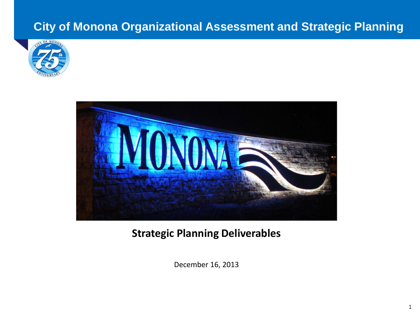# **City of Monona Organizational Assessment and Strategic Planning**





# **Strategic Planning Deliverables**

December 16, 2013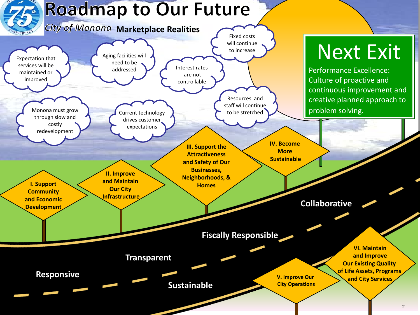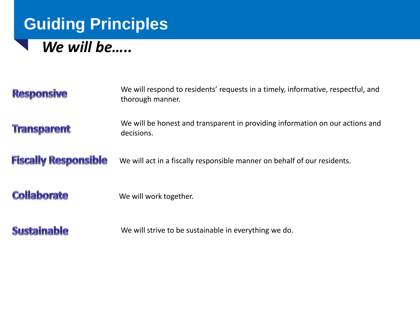# **Guiding Principles**

# *We will be…..*

| <b>Responsive</b>           | We will respond to residents' requests in a timely, informative, respectful, and<br>thorough manner. |  |
|-----------------------------|------------------------------------------------------------------------------------------------------|--|
| <b>Transparent</b>          | We will be honest and transparent in providing information on our actions and<br>decisions.          |  |
| <b>Fiscally Responsible</b> | We will act in a fiscally responsible manner on behalf of our residents.                             |  |
| <b>Collaborate</b>          | We will work together.                                                                               |  |
| <b>Sustainable</b>          | We will strive to be sustainable in everything we do.                                                |  |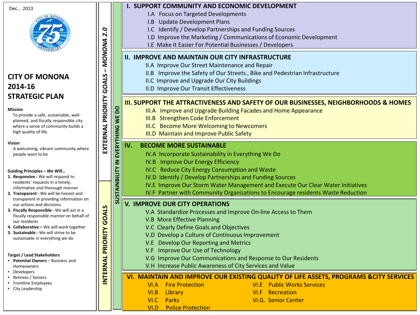Dec., 2013

# **CITY OF MONONA 2014-16 STRATEGIC PLAN**

#### **Mission**

To provide a safe, sustainable, wellplanned, and fiscally responsible city where a sense of community builds a high quality of life.

**EXTERNAL PRIORITY GOALS** 

EXTERNAL PRIORITY

**SUSTAINBILITY IN EVERYTHING WE DO**

 $\leq$ 

SUSTAINBILITY

EVERYTHING

**DO** WE I

**INTERNAL PRIORITY GOALS**

INTERNAL PRIORITY

GOALS

**–** *MONONA 2.0*

MONONA

 $\mathbf{I}$ 

GOALS

2.0

#### **Vision**

A welcoming, vibrant community where people want to be

#### **Guiding Principles –** *We Will…*

- **1. Responsive -** We will respond to residents' requests in a timely, informative and thorough manner
- **2. Transparent -** We will be honest and transparent in providing information on our actions and decisions
- **3. Fiscally Responsible -** We will act in a fiscally responsible manner on behalf of our residents
- **4. Collaborative –** We will work together
- **5. Sustainable -** We will strive to be sustainable in everything we do

#### **Target / Lead Stakeholders**

- **Potential Owners**  Business and Homeowners
- Developers
- Retirees / Seniors
- Frontline Employees
- City Leadership

#### **I. SUPPORT COMMUNITY AND ECONOMIC DEVELOPMENT**

- I.A Focus on Targeted Developments
- I.B Update Development Plans
- I.C Identify / Develop Partnerships and Funding Sources
- I.D Improve the Marketing / Communications of Economic Development
- I.E Make It Easier For Potential Businesses / Developers

### **II. IMPROVE AND MAINTAIN OUR CITY INFRASTRUCTURE**

- II.A Improve Our Street Maintenance and Repair
- II.B Improve the Safety of Our Streets , Bike and Pedestrian Infrastructure
- II.C Improve and Upgrade Our City Buildings
- II.D Improve Our Transit Effectiveness

### **III. SUPPORT THE ATTRACTIVENESS AND SAFETY OF OUR BUSINESSES, NEIGHBORHOODS & HOMES**

- III.A Improve and Upgrade Building Facades and Home Appearance
- III.B Strengthen Code Enforcement
- III.C Become More Welcoming to Newcomers
- III.D Maintain and Improve Public Safety

### **IV. BECOME MORE SUSTAINABLE**

- IV.A Incorporate Sustainability in Everything We Do
- IV.B Improve Our Energy Efficiency
- IV.C Reduce City Energy Consumption and Waste
- IV.D Identify / Develop Partnerships and Funding Sources
- IV.E Improve Our Storm Water Management and Execute Our Clear Water Initiatives
- IV.F Partner with Community Organizations to Encourage residents Waste Reduction

#### **V. IMPROVE OUR CITY OPERATIONS**

- V.A Standardize Processes and Improve On-line Access to Them
- V.B More Effective Planning
- V.C Clearly Define Goals and Objectives
- V.D Develop a Culture of Continuous Improvement
- V.E Develop Our Reporting and Metrics
- V.F Improve Our Use of Technology
- V.G Improve Our Communications and Response to Our Residents
- V.H Increase Public Awareness of City Services and Value

### **VI. MAINTAIN AND IMPROVE OUR EXISTING QUALITY OF LIFE ASSETS, PROGRAMS &CITY SERVICES**

- VI.A Fire Protection VI.E Public Works Services
- VI.B Library VI.F Recreation
- VI.C Parks VI.G. Senior Center
- VI.D Police Protection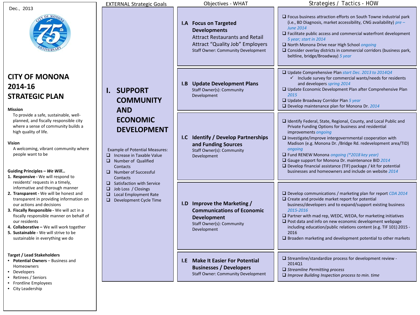|                                                                                                                                                                                                                                                                                                                                                                                                                          | <b>EXTERNAL Strategic Goals</b>                                                                                                                                                                                                                                                                                                                                                                  | Objectives - WHAT                                                                                                                                                            | Strategies / Tactics - HOW                                                                                                                                                                                                                                                                                                                                                                                                                                                                                                                        |
|--------------------------------------------------------------------------------------------------------------------------------------------------------------------------------------------------------------------------------------------------------------------------------------------------------------------------------------------------------------------------------------------------------------------------|--------------------------------------------------------------------------------------------------------------------------------------------------------------------------------------------------------------------------------------------------------------------------------------------------------------------------------------------------------------------------------------------------|------------------------------------------------------------------------------------------------------------------------------------------------------------------------------|---------------------------------------------------------------------------------------------------------------------------------------------------------------------------------------------------------------------------------------------------------------------------------------------------------------------------------------------------------------------------------------------------------------------------------------------------------------------------------------------------------------------------------------------------|
| Dec., 2013                                                                                                                                                                                                                                                                                                                                                                                                               |                                                                                                                                                                                                                                                                                                                                                                                                  | I.A Focus on Targeted<br><b>Developments</b><br><b>Attract Restaurants and Retail</b><br><b>Attract "Quality Job" Employers</b><br><b>Staff Owner: Community Development</b> | $\Box$ Focus business attraction efforts on South Towne industrial park<br>(i.e., BD Diagnosis, market accessibility, CNG availability) pre -<br><b>June 2014</b><br>$\Box$ Facilitate public access and commercial waterfront development<br>5 year; start in 2014<br>□ North Monona Drive near High School ongoing<br>$\Box$ Consider overlay districts in commercial corridors (business park,<br>beltline, bridge/Broadway) 5 year                                                                                                            |
| <b>CITY OF MONONA</b><br>2014-16<br><b>STRATEGIC PLAN</b><br><b>Mission</b>                                                                                                                                                                                                                                                                                                                                              | <b>SUPPORT</b><br>Ι.<br><b>COMMUNITY</b><br><b>AND</b><br><b>ECONOMIC</b><br><b>DEVELOPMENT</b><br><b>Example of Potential Measures:</b><br>$\Box$ Increase in Taxable Value<br>$\Box$ Number of Qualified<br>Contacts<br>$\Box$ Number of Successful<br>Contacts<br>$\Box$ Satisfaction with Service<br>□<br>Job Loss / Closings<br><b>Local Employment Rate</b><br>□<br>Development Cycle Time | <b>I.B</b> Update Development Plans<br>Staff Owner(s): Community<br>Development                                                                                              | □ Update Comprehensive Plan start Dec. 2013 to 2014Q4<br>$\checkmark$ Include survey for commercial wants/needs for residents<br>and developers spring 2014<br>$\Box$ Update Economic Development Plan after Comprehensive Plan<br>2015<br>$\Box$ Update Broadway Corridor Plan 5 year<br>$\square$ Develop maintenance plan for Monona Dr. 2014                                                                                                                                                                                                  |
| To provide a safe, sustainable, well-<br>planned, and fiscally responsible city<br>where a sense of community builds a<br>high quality of life.<br>Vision<br>A welcoming, vibrant community where<br>people want to be<br>Guiding Principles - We Will<br>1. Responsive - We will respond to                                                                                                                             |                                                                                                                                                                                                                                                                                                                                                                                                  | I.C Identify / Develop Partnerships<br>and Funding Sources<br>Staff Owner(s): Community<br>Development                                                                       | $\Box$ Identify Federal, State, Regional, County, and Local Public and<br>Private Funding Options for business and residential<br>improvements ongoing<br>$\square$ Investigate/improve intergovernmental cooperation with<br>Madison (e.g. Monona Dr. /Bridge Rd. redevelopment area/TID)<br>ongoing<br>$\Box$ Fund RENEW Monona ongoing (*2018 key year)<br>Gauge support for Monona Dr. maintenance BID 2014<br>$\Box$ Develop financial assistance (TIF) package / kit for potential<br>businesses and homeowners and include on website 2014 |
| residents' requests in a timely,<br>informative and thorough manner<br>2. Transparent - We will be honest and<br>transparent in providing information on<br>our actions and decisions<br>3. Fiscally Responsible - We will act in a<br>fiscally responsible manner on behalf of<br>our residents<br>4. Collaborative - We will work together<br>5. Sustainable - We will strive to be<br>sustainable in everything we do |                                                                                                                                                                                                                                                                                                                                                                                                  | I.D Improve the Marketing /<br><b>Communications of Economic</b><br><b>Development</b><br>Staff Owner(s): Community<br>Development                                           | $\Box$ Develop communications / marketing plan for report CDA 2014<br>$\Box$ Create and provide market report for potential<br>business/developers and to expand/support existing business<br>2015-2016<br>$\Box$ Partner with mad rep, WEDC, WEOA, for marketing initiatives<br>$\Box$ Post data and info on new economic development webpage<br>including education/public relations content (e.g. TIF 101) 2015 -<br>2016<br>$\Box$ Broaden marketing and development potential to other markets                                               |
| <b>Target / Lead Stakeholders</b><br><b>Potential Owners - Business and</b><br>Homeowners<br>Developers<br>Retirees / Seniors<br>• Frontline Employees<br>• City Leadership                                                                                                                                                                                                                                              |                                                                                                                                                                                                                                                                                                                                                                                                  | <b>I.E</b> Make It Easier For Potential<br><b>Businesses / Developers</b><br><b>Staff Owner: Community Development</b>                                                       | $\Box$ Streamline/standardize process for development review -<br>2014Q1<br>$\Box$ Streamline Permitting process<br>$\Box$ Improve Building Inspection process to min. time                                                                                                                                                                                                                                                                                                                                                                       |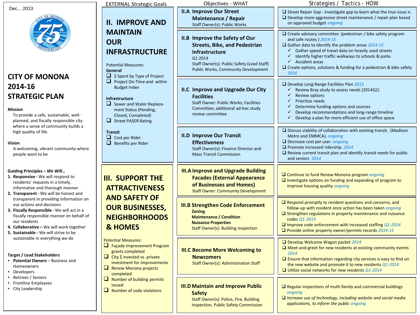|                                                                                                                                                                                                                                                                      | <b>EXTERNAL Strategic Goals</b>                                                                                                                                                                                                                                                                                  | Objectives - WHAT                                                                                                                                                                                     | Strategies / Tactics - HOW                                                                                                                                                                                                                                                                                                                                                                              |
|----------------------------------------------------------------------------------------------------------------------------------------------------------------------------------------------------------------------------------------------------------------------|------------------------------------------------------------------------------------------------------------------------------------------------------------------------------------------------------------------------------------------------------------------------------------------------------------------|-------------------------------------------------------------------------------------------------------------------------------------------------------------------------------------------------------|---------------------------------------------------------------------------------------------------------------------------------------------------------------------------------------------------------------------------------------------------------------------------------------------------------------------------------------------------------------------------------------------------------|
| Dec., 2013                                                                                                                                                                                                                                                           | <b>II. IMPROVE AND</b>                                                                                                                                                                                                                                                                                           | <b>II.A Improve Our Street</b><br><b>Maintenance / Repair</b><br>Staff Owner(s): Public Works                                                                                                         | $\Box$ Street Repair Gap - investigate gap to learn what the true issue is<br>$\Box$ Develop more aggressive street maintenance / repair plan based<br>on approved budget ongoing                                                                                                                                                                                                                       |
| <b>CITY OF MONONA</b>                                                                                                                                                                                                                                                | <b>MAINTAIN</b><br><b>OUR</b><br><b>INFRASTRUCTURE</b><br><b>Potential Measures:</b><br>General<br>□                                                                                                                                                                                                             | II.B Improve the Safety of Our<br><b>Streets, Bike, and Pedestrian</b><br>Infrastructure<br>Q1 2014<br>Staff Owner(s): Public Safety (Lead Staff)<br>Public Works, Community Development              | $\Box$ Create advisory committee (pedestrian / bike safety program<br>and safe routes ) 2014-15<br>$\Box$ Gather data to Identify the problem areas 2014-15<br>Gather speed of travel data on heavily used streets<br>✓<br>Identify higher traffic walkways to schools & parks<br>✓<br>$\checkmark$ Accident areas<br>$\Box$ Create options, solutions & funding for a pedestrian & bike safety<br>2016 |
| 2014-16<br><b>STRATEGIC PLAN</b><br>Mission<br>To provide a safe, sustainable, well-<br>planned, and fiscally responsible city<br>where a sense of community builds a                                                                                                | \$ Spent by Type of Project<br>$\Box$ Project On-Time and within<br><b>Budget Index</b><br><b>Infrastructure</b><br>$\Box$ Sewer and Water Replace-<br>ment Status (Pending,<br>Closed, Completed)<br>u<br><b>Street PASER Rating</b><br><b>Transit</b><br>$\Box$ Cost per Rider<br>$\Box$<br>Benefits per Rider | II.C Improve and Upgrade Our City<br><b>Facilities</b><br>Staff Owner: Public Works; Facilities<br>Committee; additional ad-hoc study<br>review committee                                             | $\Box$ Develop Long-Range Facilities Plan 2015<br>Review Bray study to assess needs (2014Q1)<br>✓<br>✓<br>Review options<br>Prioritize needs<br>✓<br>Determine funding options and sources<br>Develop recommendations and long-range timeline<br>Develop a plan for more efficient use of office space                                                                                                  |
| high quality of life.<br>Vision<br>A welcoming, vibrant community where<br>people want to be                                                                                                                                                                         |                                                                                                                                                                                                                                                                                                                  | <b>II.D Improve Our Transit</b><br><b>Effectiveness</b><br>Staff Owner(s): Finance Director and<br><b>Mass Transit Commission</b>                                                                     | $\Box$ Discuss viability of collaboration with existing transit. (Madison<br>Metro and EMMCA). ongoing<br>$\Box$ Decrease cost per user. ongoing<br>$\Box$ Promote increased ridership. 2014<br>$\Box$ Review current transit plan and identify transit needs for public<br>and seniors 2014                                                                                                            |
| Guiding Principles - We Will<br>1. Responsive - We will respond to<br>residents' requests in a timely,<br>informative and thorough manner<br>2. Transparent - We will be honest and                                                                                  | <b>III. SUPPORT THE</b><br><b>ATTRACTIVENESS</b>                                                                                                                                                                                                                                                                 | <b>III.A Improve and Upgrade Building</b><br><b>Facades (External Appearance</b><br>of Businesses and Homes)<br><b>Staff Owner: Community Development</b>                                             | □ Continue to fund Renew Monona program ongoing<br>$\Box$ Investigate options on funding and expanding of program to<br>improve housing quality ongoing                                                                                                                                                                                                                                                 |
| transparent in providing information on<br>our actions and decisions<br>3. Fiscally Responsible - We will act in a<br>fiscally responsible manner on behalf of<br>our residents<br>4. Collaborative - We will work together<br>5. Sustainable - We will strive to be | <b>AND SAFETY OF</b><br><b>OUR BUSINESSES,</b><br><b>NEIGHBORHOODS</b><br><b>&amp; HOMES</b>                                                                                                                                                                                                                     | <b>III.B Strengthen Code Enforcement</b><br><b>Zoning</b><br><b>Maintenance / Condition</b><br><b>Nuisance Properties</b><br><b>Staff Owner(s): Building Inspection</b>                               | $\Box$ Respond promptly to resident questions and concerns, and<br>follow-up with resident once action has been taken ongoing<br>$\Box$ Strengthen regulations in property maintenance and nuisance<br>codes Q1-2014<br>$\Box$ Improve code enforcement with increased staffing Q1-2014<br>$\Box$ Provide online property owner/permits records 2014-15                                                 |
| sustainable in everything we do<br><b>Target / Lead Stakeholders</b><br>• Potential Owners - Business and<br>Homeowners<br>• Developers                                                                                                                              | <b>Potential Measures:</b><br>$\Box$ Façade Improvement Program<br>grants completed<br>$\Box$ City \$ invested vs. private<br>investment for improvements<br>Renew Monona projects<br>completed                                                                                                                  | <b>III.C Become More Welcoming to</b><br><b>Newcomers</b><br>Staff Owner(s): Administration Staff                                                                                                     | D Develop Welcome Wagon packet 2014<br>$\Box$ Meet-and-greet for new residents at existing community events<br>2014<br>$\Box$ Ensure that information regarding city services is easy to find on<br>the new website and promote it to new residents Q1-2014<br>$\Box$ Utilize social networks for new residents Q1-2014                                                                                 |
| Retirees / Seniors<br>$\Box$ Number of building permits<br>Frontline Employees<br>issued<br>• City Leadership<br>$\Box$ Number of code violations                                                                                                                    | <b>III.D Maintain and Improve Public</b><br><b>Safety</b><br>Staff Owner(s): Police, Fire, Building<br><b>Inspection, Public Safety Commission</b>                                                                                                                                                               | $\Box$ Regular inspections of multi-family and commercial buildings<br>ongoing<br>$\Box$ Increase use of technology, including website and social media<br>applications, to inform the public ongoing |                                                                                                                                                                                                                                                                                                                                                                                                         |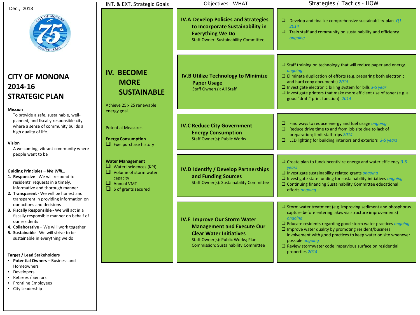|                                                                                                                                                                                                                                                                                                                                                                                                                                                                                                                                           | INT. & EXT. Strategic Goals                                                                                                                                                                    | Objectives - WHAT                                                                                                                                                                               | Strategies / Tactics - HOW                                                                                                                                                                                                                                                                                                                                                                                                                                 |
|-------------------------------------------------------------------------------------------------------------------------------------------------------------------------------------------------------------------------------------------------------------------------------------------------------------------------------------------------------------------------------------------------------------------------------------------------------------------------------------------------------------------------------------------|------------------------------------------------------------------------------------------------------------------------------------------------------------------------------------------------|-------------------------------------------------------------------------------------------------------------------------------------------------------------------------------------------------|------------------------------------------------------------------------------------------------------------------------------------------------------------------------------------------------------------------------------------------------------------------------------------------------------------------------------------------------------------------------------------------------------------------------------------------------------------|
| Dec., 2013                                                                                                                                                                                                                                                                                                                                                                                                                                                                                                                                |                                                                                                                                                                                                | <b>IV.A Develop Policies and Strategies</b><br>to Incorporate Sustainability in<br><b>Everything We Do</b><br><b>Staff Owner: Sustainability Committee</b>                                      | $\Box$ Develop and finalize comprehensive sustainability plan Q1-<br>2014<br>$\Box$ Train staff and community on sustainability and efficiency<br>ongoing                                                                                                                                                                                                                                                                                                  |
| <b>CITY OF MONONA</b><br>2014-16<br><b>STRATEGIC PLAN</b><br><b>Mission</b>                                                                                                                                                                                                                                                                                                                                                                                                                                                               | <b>IV. BECOME</b><br><b>MORE</b><br><b>SUSTAINABLE</b><br>Achieve 25 x 25 renewable<br>energy goal.<br><b>Potential Measures:</b><br><b>Energy Consumption</b><br>$\Box$ Fuel purchase history | <b>IV.B Utilize Technology to Minimize</b><br><b>Paper Usage</b><br>Staff Owner(s): All Staff                                                                                                   | $\Box$ Staff training on technology that will reduce paper and energy.<br>ongoing<br>$\Box$ Eliminate duplication of efforts (e.g. preparing both electronic<br>and hard copy documents) 2015<br>$\Box$ Investigate electronic billing system for bills 3-5 year<br>$\square$ Investigate printers that make more efficient use of toner (e.g. a<br>good "draft" print function). 2014                                                                     |
| To provide a safe, sustainable, well-<br>planned, and fiscally responsible city<br>where a sense of community builds a<br>high quality of life.<br><b>Vision</b><br>A welcoming, vibrant community where                                                                                                                                                                                                                                                                                                                                  |                                                                                                                                                                                                | <b>IV.C Reduce City Government</b><br><b>Energy Consumption</b><br><b>Staff Owner(s): Public Works</b>                                                                                          | $\Box$ Find ways to reduce energy and fuel usage <i>ongoing</i><br>$\Box$ Reduce drive time to and from job site due to lack of<br>preparation; limit staff trips 2014<br>$\Box$ LED lighting for building interiors and exteriors 3-5 years                                                                                                                                                                                                               |
| people want to be<br>Guiding Principles - We Will<br>ப<br>1. Responsive - We will respond to<br>capacity<br>residents' requests in a timely,<br>informative and thorough manner<br>□<br>2. Transparent - We will be honest and<br>transparent in providing information on<br>our actions and decisions<br>3. Fiscally Responsible - We will act in a<br>fiscally responsible manner on behalf of<br>our residents<br>4. Collaborative - We will work together<br>5. Sustainable - We will strive to be<br>sustainable in everything we do | <b>Water Management</b><br>$\Box$ Water incidences (KPI)<br>Volume of storm water<br>$\Box$ Annual VMT<br>\$ of grants secured                                                                 | <b>IV.D Identify / Develop Partnerships</b><br>and Funding Sources<br>Staff Owner(s): Sustainability Committee                                                                                  | $\Box$ Create plan to fund/incentivize energy and water efficiency 3-5<br>years<br>$\Box$ Investigate sustainability related grants ongoing<br>$\square$ Investigate state funding for sustainability initiatives ongoing<br>□ Continuing financing Sustainability Committee educational<br>efforts ongoing                                                                                                                                                |
|                                                                                                                                                                                                                                                                                                                                                                                                                                                                                                                                           |                                                                                                                                                                                                | <b>IV.E Improve Our Storm Water</b><br><b>Management and Execute Our</b><br><b>Clear Water Initiatives</b><br>Staff Owner(s): Public Works; Plan<br><b>Commission; Sustainability Committee</b> | $\square$ Storm water treatment (e.g. improving sediment and phosphorus<br>capture before entering lakes via structure improvements)<br>ongoing<br>$\Box$ Educate residents regarding good storm water practices ongoing<br>$\Box$ Improve water quality by promoting resident/business<br>involvement with good practices to keep water on site whenever<br>possible <i>ongoing</i><br>$\square$ Review stormwater code impervious surface on residential |
| <b>Target / Lead Stakeholders</b><br>• Potential Owners - Business and<br>Homeowners                                                                                                                                                                                                                                                                                                                                                                                                                                                      |                                                                                                                                                                                                |                                                                                                                                                                                                 | properties 2014                                                                                                                                                                                                                                                                                                                                                                                                                                            |

- Developers
- Retirees / Seniors
- Frontline Employees
- City Leadership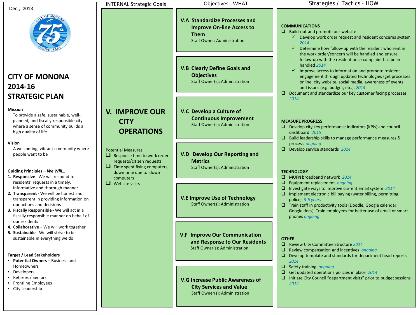| Dec., 2013 |  |
|------------|--|
|------------|--|

## **CITY OF MONONA 2014-16 STRATEGIC PLAN**

#### **Mission**

To provide a safe, sustainable, wellplanned, and fiscally responsible city where a sense of community builds a high quality of life.

#### **Vision**

A welcoming, vibrant community where people want to be

#### **Guiding Principles –** *We Will…*

- **1. Responsive -** We will respond to residents' requests in a timely, informative and thorough manner
- **2. Transparent -** We will be honest and transparent in providing information on our actions and decisions
- **3. Fiscally Responsible -** We will act in a fiscally responsible manner on behalf of our residents
- **4. Collaborative –** We will work together
- **5. Sustainable -** We will strive to be sustainable in everything we do

#### **Target / Lead Stakeholders**

- **Potential Owners**  Business and Homeowners
- Developers
- Retirees / Seniors
- Frontline Employees
- City Leadership

**V. IMPROVE OUR** 

**OPERATIONS**

 $\Box$  Response time to work order requests/citizen requests  $\Box$  Time spent fixing computers; down time due to down

**CITY** 

Potential Measures:

computers  $\Box$  Website visits

**V.A Standardize Processes and Improve On-line Access to Them** Staff Owner: Administration

**V.B Clearly Define Goals and Objectives** Staff Owner(s): Administration

#### **V.C Develop a Culture of Continuous Improvement** Staff Owner(s): Administration

**V.D Develop Our Reporting and Metrics** Staff Owner(s): Administration

#### **V.E Improve Use of Technology** Staff Owner(s): Administration

**V.F Improve Our Communication and Response to Our Residents** Staff Owner(s): Administration

#### **V.G Increase Public Awareness of City Services and Value** Staff Owner(s): Administration

#### INTERNAL Strategic Goals **Objectives - WHAT** Strategies / Tactics - HOW

#### **COMMUNICATIONS**

- $\Box$  Build-out and promote our website
	- $\checkmark$  Develop work order request and resident concerns system *2014*
	- $\checkmark$  Determine how follow-up with the resident who sent in the work order/concern will be handled and ensure follow-up with the resident once complaint has been handled *2014*
	- $\checkmark$  Improve access to information and promote resident engagement through updated technologies (get processes online, city website, social media, awareness of events and issues (e.g. budget, etc.). *2014*
- $\Box$  Document and standardize our key customer facing processes *2014*

#### **MEASURE PROGRESS**

- $\Box$  Develop city key performance indicators (KPIs) and council dashboard *2015*
- $\square$  Build leadership skills to manage performance measures & process *ongoing*
- Develop service standards 2014

#### **TECHNOLOGY**

- MUFN broadband network *2014*
- Equipment replacement *ongoing*
- Investigate ways to Improve current email system *2014*
- $\Box$  Implement electronic bill paying (water billing, permitting, police) *3-5 years*
- $\Box$  Train staff in productivity tools (Doodle, Google calendar, Google docs). Train employees for better use of email or smart phones *ongoing*

#### **OTHER**

- Review City Committee Structure *2014*
- Review compensation and incentives *ongoing*
- $\Box$  Develop template and standards for department head reports *2014*
- Safety training *ongoing*
- Get updated operations policies in place 2014
- $\Box$  Initiate City Council "department visits" prior to budget sessions *2014*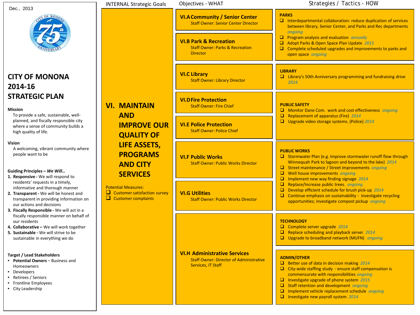| Dec., 2013                                                                                                                                                                                                                                                                | <b>INTERNAL Strategic Goals</b>                                                                                                                                                                                                          | Objectives - WHAT                                                                                                  | Strategies / Tactics - HOW                                                                                                                                                                                                                                                                                                                                                                                       |
|---------------------------------------------------------------------------------------------------------------------------------------------------------------------------------------------------------------------------------------------------------------------------|------------------------------------------------------------------------------------------------------------------------------------------------------------------------------------------------------------------------------------------|--------------------------------------------------------------------------------------------------------------------|------------------------------------------------------------------------------------------------------------------------------------------------------------------------------------------------------------------------------------------------------------------------------------------------------------------------------------------------------------------------------------------------------------------|
| OF MOA                                                                                                                                                                                                                                                                    |                                                                                                                                                                                                                                          | <b>VI.A Community / Senior Center</b><br><b>Staff Owner: Senior Center Director</b>                                | <b>PARKS</b><br>$\Box$ Interdepartmental collaboration: reduce duplication of services<br>between library, Senior Center, and Parks and Rec departments<br>ongoing                                                                                                                                                                                                                                               |
|                                                                                                                                                                                                                                                                           |                                                                                                                                                                                                                                          | <b>VI.B Park &amp; Recreation</b><br><b>Staff Owner: Parks &amp; Recreation</b><br><b>Director</b>                 | $\Box$ Program analysis and evaluation annually<br>Adopt Parks & Open Space Plan Update 2015<br>$\Box$ Complete scheduled upgrades and improvements to parks and<br>open space ongoing                                                                                                                                                                                                                           |
| <b>CITY OF MONONA</b><br>2014-16                                                                                                                                                                                                                                          |                                                                                                                                                                                                                                          | <b>VI.C Library</b><br><b>Staff Owner: Library Director</b>                                                        | <b>LIBRARY</b><br>$\Box$ Library's 50th Anniversary programming and fundraising drive<br>2014                                                                                                                                                                                                                                                                                                                    |
| <b>STRATEGIC PLAN</b><br><b>Mission</b>                                                                                                                                                                                                                                   | <b>VI. MAINTAIN</b>                                                                                                                                                                                                                      | <b>VI.D Fire Protection</b><br><b>Staff Owner: Fire Chief</b>                                                      | <b>PUBLIC SAFETY</b><br>Monitor Dane Com. work and cost effectiveness ongoing                                                                                                                                                                                                                                                                                                                                    |
| To provide a safe, sustainable, well-<br>planned, and fiscally responsible city<br>where a sense of community builds a<br>high quality of life.                                                                                                                           | <b>AND</b><br><b>IMPROVE OUR</b><br><b>QUALITY OF</b><br><b>LIFE ASSETS,</b><br><b>PROGRAMS</b><br><b>AND CITY</b><br><b>SERVICES</b><br><b>Potential Measures:</b><br>$\Box$ Customer satisfaction survey<br>$\Box$ Customer complaints | <b>VI.E Police Protection</b><br><b>Staff Owner: Police Chief</b>                                                  | o<br><b>Replacement of apparatus (Fire) 2014</b><br>□ Upgrade video storage systems. (Police) 2014                                                                                                                                                                                                                                                                                                               |
| <b>Vision</b><br>A welcoming, vibrant community where<br>people want to be<br>Guiding Principles - We Will                                                                                                                                                                |                                                                                                                                                                                                                                          | <b>VI.F Public Works</b><br><b>Staff Owner: Public Works Director</b>                                              | <b>PUBLIC WORKS</b><br>Stormwater Plan (e.g. Improve stormwater runoff flow through<br>Winnequah Park to lagoon and beyond to the lake) 2014<br>Street maintenance / Street improvements ongoing<br>$\Box$<br>Well house improvements ongoing                                                                                                                                                                    |
| 1. Responsive - We will respond to<br>residents' requests in a timely,<br>informative and thorough manner<br>2. Transparent - We will be honest and<br>transparent in providing information on<br>our actions and decisions<br>3. Fiscally Responsible - We will act in a |                                                                                                                                                                                                                                          | <b>VI.G Utilities</b><br><b>Staff Owner: Public Works Director</b>                                                 | Implement new way finding signage 2014<br>□<br>$\Box$<br>Replace/Increase public trees. ongoing<br>$\Box$<br>Develop efficient schedule for brush pick-up 2014<br>$\Box$<br>Continue emphasis on sustainability - investigate recycling<br>opportunities; investigate compost pickup ongoing                                                                                                                     |
| fiscally responsible manner on behalf of<br>our residents<br>4. Collaborative - We will work together<br>5. Sustainable - We will strive to be<br>sustainable in everything we do                                                                                         |                                                                                                                                                                                                                                          |                                                                                                                    | <b>TECHNOLOGY</b><br>Complete server upgrade 2014<br>$\Box$<br>Replace scheduling and playback server 2014<br>o<br>Upgrade to broadband network (MUFN) ongoing                                                                                                                                                                                                                                                   |
| <b>Target / Lead Stakeholders</b><br>Potential Owners - Business and<br>$\bullet$<br><b>Homeowners</b><br>Developers<br>• Retirees / Seniors<br><b>Frontline Employees</b><br>• City Leadership                                                                           |                                                                                                                                                                                                                                          | <b>VI.H Administrative Services</b><br><b>Staff Owner: Director of Administrative</b><br><b>Services, IT Staff</b> | <b>ADMIN/OTHER</b><br><b>E</b> Better use of data in decision making $2014$<br>$\Box$ City-wide staffing study - ensure staff compensation is<br>commensurate with responsibilities ongoing<br>Investigate upgrade of phone system 2015<br>$\Box$<br>$\Box$ Staff retention and development ongoing<br>Implement vehicle replacement schedule ongoing<br>$\Box$<br>$\Box$<br>Investigate new payroll system 2014 |